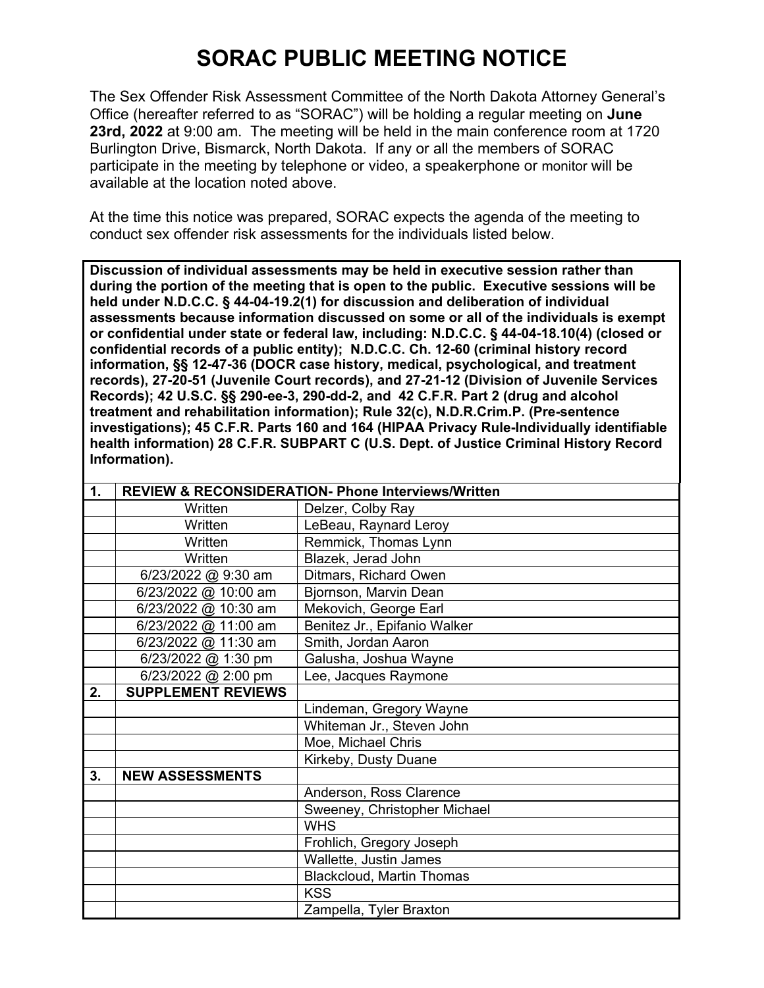## **SORAC PUBLIC MEETING NOTICE**

The Sex Offender Risk Assessment Committee of the North Dakota Attorney General's Office (hereafter referred to as "SORAC") will be holding a regular meeting on **June 23rd, 2022** at 9:00 am. The meeting will be held in the main conference room at 1720 Burlington Drive, Bismarck, North Dakota. If any or all the members of SORAC participate in the meeting by telephone or video, a speakerphone or monitor will be available at the location noted above.

At the time this notice was prepared, SORAC expects the agenda of the meeting to conduct sex offender risk assessments for the individuals listed below.

**Discussion of individual assessments may be held in executive session rather than during the portion of the meeting that is open to the public. Executive sessions will be held under N.D.C.C. § 44-04-19.2(1) for discussion and deliberation of individual assessments because information discussed on some or all of the individuals is exempt or confidential under state or federal law, including: N.D.C.C. § 44-04-18.10(4) (closed or confidential records of a public entity); N.D.C.C. Ch. 12-60 (criminal history record information, §§ 12-47-36 (DOCR case history, medical, psychological, and treatment records), 27-20-51 (Juvenile Court records), and 27-21-12 (Division of Juvenile Services Records); 42 U.S.C. §§ 290-ee-3, 290-dd-2, and 42 C.F.R. Part 2 (drug and alcohol treatment and rehabilitation information); Rule 32(c), N.D.R.Crim.P. (Pre-sentence investigations); 45 C.F.R. Parts 160 and 164 (HIPAA Privacy Rule-Individually identifiable health information) 28 C.F.R. SUBPART C (U.S. Dept. of Justice Criminal History Record Information).** 

| 1. |                           | <b>REVIEW &amp; RECONSIDERATION- Phone Interviews/Written</b> |
|----|---------------------------|---------------------------------------------------------------|
|    | Written                   | Delzer, Colby Ray                                             |
|    | Written                   | LeBeau, Raynard Leroy                                         |
|    | Written                   | Remmick, Thomas Lynn                                          |
|    | Written                   | Blazek, Jerad John                                            |
|    | 6/23/2022 @ 9:30 am       | Ditmars, Richard Owen                                         |
|    | 6/23/2022 @ 10:00 am      | Bjornson, Marvin Dean                                         |
|    | 6/23/2022 @ 10:30 am      | Mekovich, George Earl                                         |
|    | 6/23/2022 @ 11:00 am      | Benitez Jr., Epifanio Walker                                  |
|    | 6/23/2022 @ 11:30 am      | Smith, Jordan Aaron                                           |
|    | 6/23/2022 @ 1:30 pm       | Galusha, Joshua Wayne                                         |
|    | 6/23/2022 @ 2:00 pm       | Lee, Jacques Raymone                                          |
| 2. | <b>SUPPLEMENT REVIEWS</b> |                                                               |
|    |                           | Lindeman, Gregory Wayne                                       |
|    |                           | Whiteman Jr., Steven John                                     |
|    |                           | Moe, Michael Chris                                            |
|    |                           | Kirkeby, Dusty Duane                                          |
| 3. | <b>NEW ASSESSMENTS</b>    |                                                               |
|    |                           | Anderson, Ross Clarence                                       |
|    |                           | Sweeney, Christopher Michael                                  |
|    |                           | <b>WHS</b>                                                    |
|    |                           | Frohlich, Gregory Joseph                                      |
|    |                           | Wallette, Justin James                                        |
|    |                           | <b>Blackcloud, Martin Thomas</b>                              |
|    |                           | <b>KSS</b>                                                    |
|    |                           | Zampella, Tyler Braxton                                       |